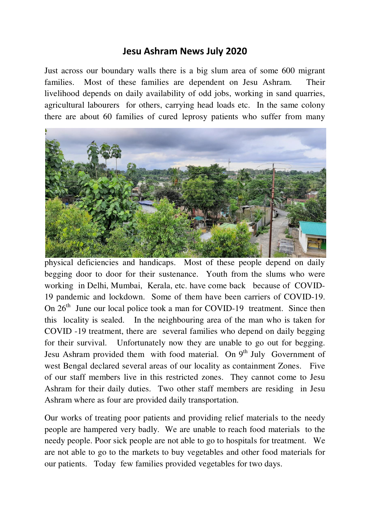## **Jesu Ashram News July 2020**

Just across our boundary walls there is a big slum area of some 600 migrant families. Most of these families are dependent on Jesu Ashram. Their livelihood depends on daily availability of odd jobs, working in sand quarries, agricultural labourers for others, carrying head loads etc. In the same colony there are about 60 families of cured leprosy patients who suffer from many



physical deficiencies and handicaps. Most of these people depend on daily begging door to door for their sustenance. Youth from the slums who were working in Delhi, Mumbai, Kerala, etc. have come back because of COVID-19 pandemic and lockdown. Some of them have been carriers of COVID-19. On  $26<sup>th</sup>$  June our local police took a man for COVID-19 treatment. Since then this locality is sealed. In the neighbouring area of the man who is taken for COVID -19 treatment, there are several families who depend on daily begging for their survival. Unfortunately now they are unable to go out for begging. Jesu Ashram provided them with food material. On  $9<sup>th</sup>$  July Government of west Bengal declared several areas of our locality as containment Zones. Five of our staff members live in this restricted zones. They cannot come to Jesu Ashram for their daily duties. Two other staff members are residing in Jesu Ashram where as four are provided daily transportation.

Our works of treating poor patients and providing relief materials to the needy people are hampered very badly. We are unable to reach food materials to the needy people. Poor sick people are not able to go to hospitals for treatment. We are not able to go to the markets to buy vegetables and other food materials for our patients. Today few families provided vegetables for two days.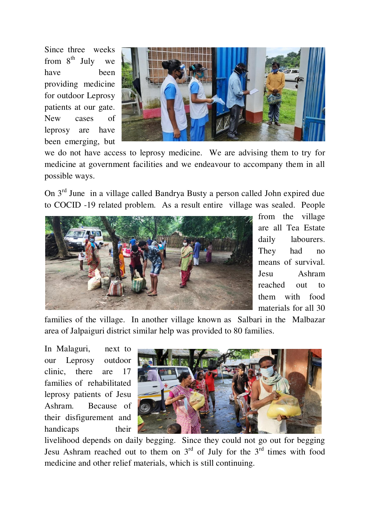Since three weeks from  $8^{th}$  July we have been providing medicine for outdoor Leprosy patients at our gate. New cases of leprosy are have been emerging, but



we do not have access to leprosy medicine. We are advising them to try for medicine at government facilities and we endeavour to accompany them in all possible ways.

On 3rd June in a village called Bandrya Busty a person called John expired due to COCID -19 related problem. As a result entire village was sealed. People



from the village are all Tea Estate daily labourers. They had no means of survival. Jesu Ashram reached out to them with food materials for all 30

families of the village. In another village known as Salbari in the Malbazar area of Jalpaiguri district similar help was provided to 80 families.

In Malaguri, next to our Leprosy outdoor clinic, there are 17 families of rehabilitated leprosy patients of Jesu Ashram. Because of their disfigurement and handicaps their



livelihood depends on daily begging. Since they could not go out for begging Jesu Ashram reached out to them on  $3<sup>rd</sup>$  of July for the  $3<sup>rd</sup>$  times with food medicine and other relief materials, which is still continuing.